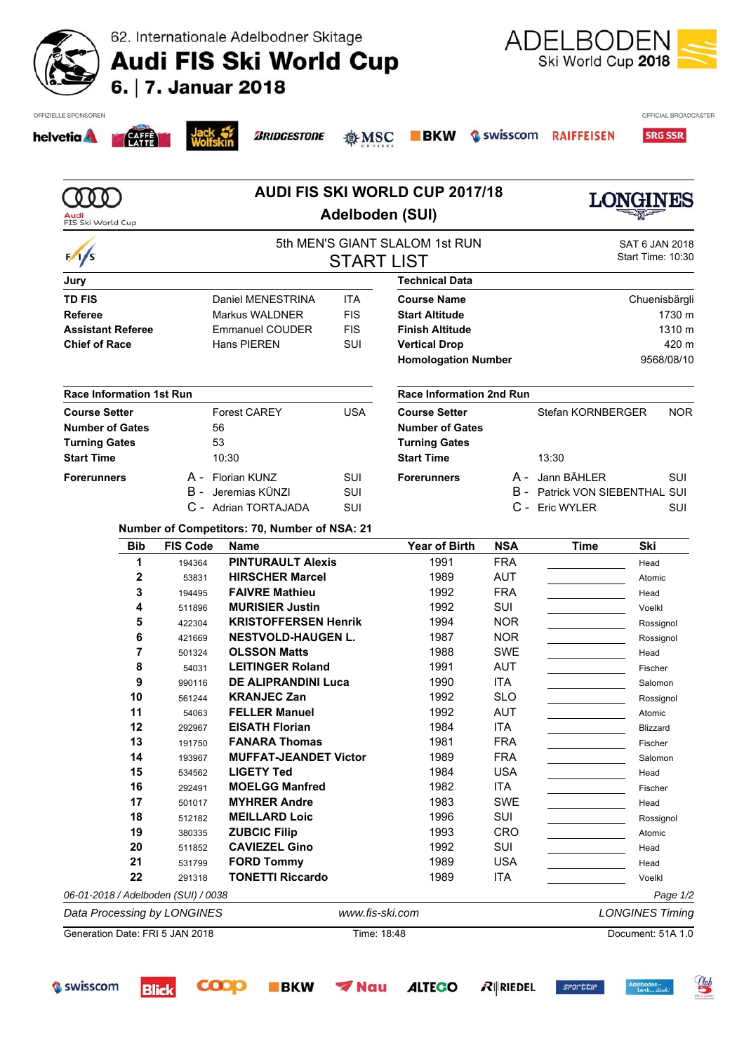|  | 62. Internationale Adelbodner Skitage |  |
|--|---------------------------------------|--|
|  |                                       |  |

Audi FIS Ski World Cup<br>6. | 7. Januar 2018



| Audi                                                               |                              |                                              | Adelboden (SUI)       | <b>AUDI FIS SKI WORLD CUP 2017/18</b> |            |                                       | LONGINES                            |  |
|--------------------------------------------------------------------|------------------------------|----------------------------------------------|-----------------------|---------------------------------------|------------|---------------------------------------|-------------------------------------|--|
| FIS Ski World Cup                                                  |                              |                                              |                       |                                       |            |                                       |                                     |  |
| $\frac{1}{s}$                                                      |                              |                                              | <b>START LIST</b>     | 5th MEN'S GIANT SLALOM 1st RUN        |            |                                       | SAT 6 JAN 2018<br>Start Time: 10:30 |  |
| Jury                                                               |                              |                                              |                       | <b>Technical Data</b>                 |            |                                       |                                     |  |
| <b>TD FIS</b>                                                      |                              | Daniel MENESTRINA                            | <b>ITA</b>            | <b>Course Name</b>                    |            |                                       | Chuenisbärgli                       |  |
| <b>Referee</b>                                                     | <b>FIS</b><br>Markus WALDNER |                                              | <b>Start Altitude</b> |                                       | 1730 m     |                                       |                                     |  |
| <b>Assistant Referee</b>                                           |                              | <b>Emmanuel COUDER</b>                       | <b>FIS</b>            | <b>Finish Altitude</b>                |            |                                       | 1310 m                              |  |
| <b>Chief of Race</b>                                               |                              | Hans PIEREN                                  | SUI                   | <b>Vertical Drop</b>                  |            | 420 m                                 |                                     |  |
|                                                                    |                              |                                              |                       | <b>Homologation Number</b>            |            |                                       | 9568/08/10                          |  |
| <b>Race Information 1st Run</b>                                    |                              |                                              |                       | Race Information 2nd Run              |            |                                       |                                     |  |
| <b>Course Setter</b>                                               |                              | <b>Forest CAREY</b>                          | <b>USA</b>            | <b>Course Setter</b>                  |            | Stefan KORNBERGER                     | <b>NOR</b>                          |  |
| <b>Number of Gates</b>                                             |                              | 56                                           |                       | <b>Number of Gates</b>                |            |                                       |                                     |  |
| <b>Turning Gates</b>                                               |                              | 53                                           |                       | <b>Turning Gates</b>                  |            |                                       |                                     |  |
| <b>Start Time</b>                                                  |                              | 10:30                                        |                       | <b>Start Time</b>                     |            | 13:30                                 |                                     |  |
| <b>Forerunners</b>                                                 | A -                          | Florian KUNZ                                 | SUI                   | <b>Forerunners</b>                    | A -        | Jann BÄHLER                           | SUI                                 |  |
|                                                                    | в-                           | Jeremias KÜNZI                               | SUI                   |                                       |            | <b>B</b> - Patrick VON SIEBENTHAL SUI |                                     |  |
|                                                                    |                              | C - Adrian TORTAJADA                         | SUI                   |                                       |            | C - Eric WYLER                        | SUI                                 |  |
|                                                                    |                              | Number of Competitors: 70, Number of NSA: 21 |                       |                                       |            |                                       |                                     |  |
| <b>Bib</b>                                                         | <b>FIS Code</b>              | <b>Name</b>                                  |                       | <b>Year of Birth</b>                  | <b>NSA</b> | <b>Time</b>                           | Ski                                 |  |
| 1                                                                  | 194364                       | <b>PINTURAULT Alexis</b>                     |                       | 1991                                  | <b>FRA</b> |                                       | Head                                |  |
| 2                                                                  | 53831                        | <b>HIRSCHER Marcel</b>                       |                       | 1989                                  | <b>AUT</b> |                                       | Atomic                              |  |
| 3                                                                  | 194495                       | <b>FAIVRE Mathieu</b>                        |                       | 1992                                  | <b>FRA</b> |                                       | Head                                |  |
| 4                                                                  | 511896                       | <b>MURISIER Justin</b>                       |                       | 1992                                  | SUI        |                                       | Voelkl                              |  |
| 5                                                                  | 422304                       | <b>KRISTOFFERSEN Henrik</b>                  |                       | 1994                                  | <b>NOR</b> |                                       | Rossignol                           |  |
| 6                                                                  | 421669                       | <b>NESTVOLD-HAUGEN L.</b>                    |                       | 1987                                  | <b>NOR</b> |                                       | Rossignol                           |  |
| 7                                                                  | 501324                       | <b>OLSSON Matts</b>                          |                       | 1988                                  | <b>SWE</b> |                                       | Head                                |  |
|                                                                    | 54031                        | <b>LEITINGER Roland</b>                      |                       | 1991                                  | <b>AUT</b> |                                       | Fischer                             |  |
| 8                                                                  |                              | <b>DE ALIPRANDINI Luca</b>                   |                       | 1990                                  | <b>ITA</b> |                                       | Salomon                             |  |
| 9                                                                  | 990116                       |                                              |                       |                                       | <b>SLO</b> |                                       | Rossignol                           |  |
| 10                                                                 | 561244                       | <b>KRANJEC Zan</b>                           |                       | 1992                                  |            |                                       | Atomic                              |  |
| 11                                                                 | 54063                        | <b>FELLER Manuel</b>                         |                       | 1992                                  | <b>AUT</b> |                                       |                                     |  |
| 12                                                                 | 292967                       | <b>EISATH Florian</b>                        |                       | 1984                                  | <b>ITA</b> |                                       | Blizzard                            |  |
| 13                                                                 | 191750                       | <b>FANARA Thomas</b>                         |                       | 1981                                  | <b>FRA</b> |                                       | Fischer                             |  |
| 14                                                                 | 193967                       | <b>MUFFAT-JEANDET Victor</b>                 |                       | 1989                                  | <b>FRA</b> |                                       | Salomon                             |  |
| 15                                                                 | 534562                       | <b>LIGETY Ted</b>                            |                       | 1984                                  | <b>USA</b> |                                       | Head                                |  |
| 16                                                                 | 292491                       | <b>MOELGG Manfred</b>                        |                       | 1982                                  | <b>ITA</b> |                                       | Fischer                             |  |
| 17                                                                 | 501017                       | <b>MYHRER Andre</b>                          |                       | 1983                                  | <b>SWE</b> |                                       | Head                                |  |
| 18                                                                 | 512182                       | <b>MEILLARD Loic</b>                         |                       | 1996                                  | SUI        |                                       | Rossignol                           |  |
| 19                                                                 | 380335                       | <b>ZUBCIC Filip</b>                          |                       | 1993                                  | <b>CRO</b> |                                       | Atomic                              |  |
| 20                                                                 | 511852                       | <b>CAVIEZEL Gino</b>                         |                       | 1992                                  | SUI        |                                       | Head                                |  |
| 21                                                                 | 531799                       | <b>FORD Tommy</b>                            |                       | 1989                                  | <b>USA</b> |                                       | Head                                |  |
| 22                                                                 | 291318                       | <b>TONETTI Riccardo</b>                      |                       | 1989                                  | <b>ITA</b> |                                       | Voelkl                              |  |
|                                                                    |                              |                                              |                       |                                       |            |                                       |                                     |  |
| 06-01-2018 / Adelboden (SUI) / 0038<br>Data Processing by LONGINES |                              |                                              | www.fis-ski.com       |                                       |            |                                       | Page 1/2<br><b>LONGINES Timing</b>  |  |